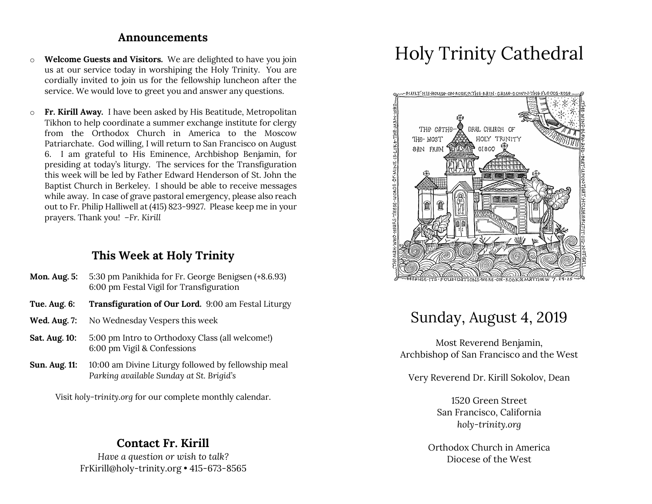### **Announcements**

- o **Welcome Guests and Visitors.** We are delighted to have you join us at our service today in worshiping the Holy Trinity. You are cordially invited to join us for the fellowship luncheon after the service. We would love to greet you and answer any questions.
- o **Fr. Kirill Away.** I have been asked by His Beatitude, Metropolitan Tikhon to help coordinate a summer exchange institute for clergy from the Orthodox Church in America to the Moscow Patriarchate. God willing, I will return to San Francisco on August 6. I am grateful to His Eminence, Archbishop Benjamin, for presiding at today's liturgy. The services for the Transfiguration this week will be led by Father Edward Henderson of St. John the Baptist Church in Berkeley. I should be able to receive messages while away. In case of grave pastoral emergency, please also reach out to Fr. Philip Halliwell at (415) 823-9927. Please keep me in your prayers. Thank you! *–Fr. Kirill*

# **This Week at Holy Trinity**

- **Mon. Aug. 5:** 5:30 pm Panikhida for Fr. George Benigsen (+8.6.93) 6:00 pm Festal Vigil for Transfiguration
- **Tue. Aug. 6: Transfiguration of Our Lord.** 9:00 am Festal Liturgy
- **Wed. Aug. 7:** No Wednesday Vespers this week
- **Sat. Aug. 10:** 5:00 pm Intro to Orthodoxy Class (all welcome!) 6:00 pm Vigil & Confessions
- **Sun. Aug. 11:** 10:00 am Divine Liturgy followed by fellowship meal *Parking available Sunday at St. Brigid's*

Visit *holy-trinity.org* for our complete monthly calendar.

## **Contact Fr. Kirill**

*Have a question or wish to talk?* FrKirill@holy-trinity.org • 415-673-8565

# Holy Trinity Cathedral



# Sunday, August 4, 2019

Most Reverend Benjamin, Archbishop of San Francisco and the West

Very Reverend Dr. Kirill Sokolov, Dean

1520 Green Street San Francisco, California *holy-trinity.org*

Orthodox Church in America Diocese of the West